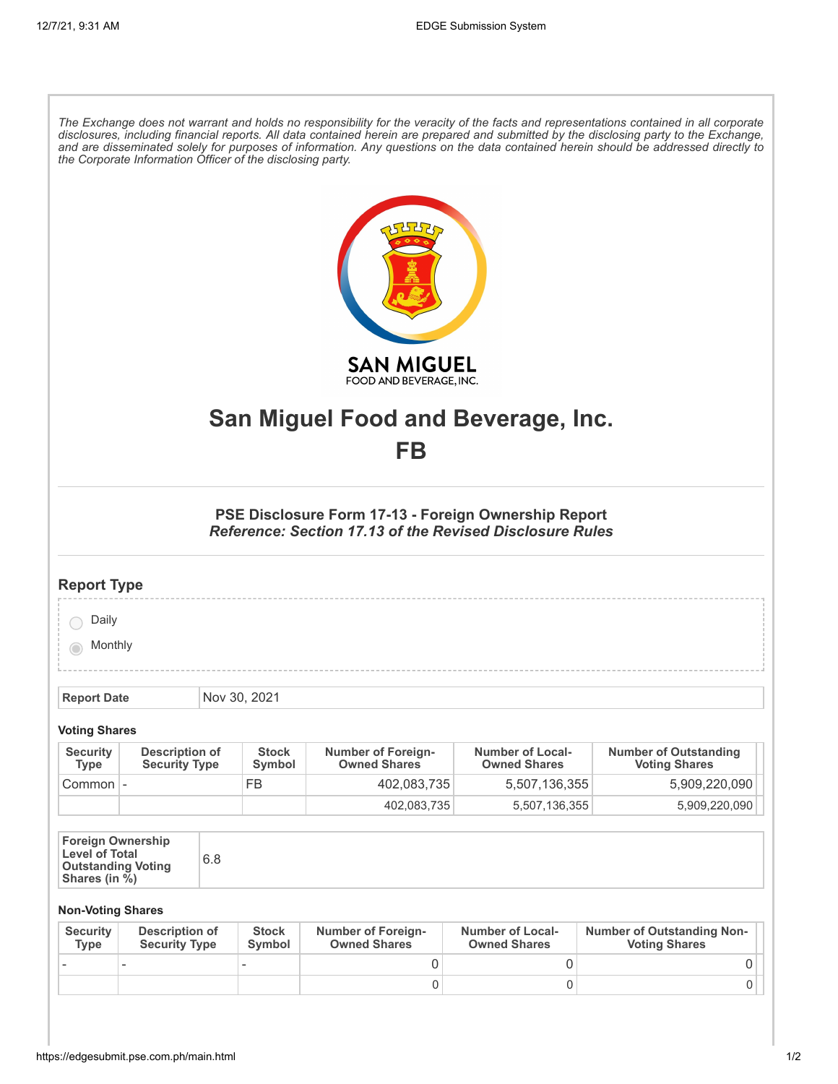| The Exchange does not warrant and holds no responsibility for the veracity of the facts and representations contained in all corporate<br>disclosures, including financial reports. All data contained herein are prepared and submitted by the disclosing party to the Exchange,<br>and are disseminated solely for purposes of information. Any questions on the data contained herein should be addressed directly to<br>the Corporate Information Officer of the disclosing party. |                                               |     |                        |                                                                                                                         |                                                |                                                           |  |
|----------------------------------------------------------------------------------------------------------------------------------------------------------------------------------------------------------------------------------------------------------------------------------------------------------------------------------------------------------------------------------------------------------------------------------------------------------------------------------------|-----------------------------------------------|-----|------------------------|-------------------------------------------------------------------------------------------------------------------------|------------------------------------------------|-----------------------------------------------------------|--|
|                                                                                                                                                                                                                                                                                                                                                                                                                                                                                        |                                               |     |                        | <b>SAN MIGUEL</b><br>FOOD AND BEVERAGE, INC.                                                                            |                                                |                                                           |  |
| San Miguel Food and Beverage, Inc.                                                                                                                                                                                                                                                                                                                                                                                                                                                     |                                               |     |                        |                                                                                                                         |                                                |                                                           |  |
| FB                                                                                                                                                                                                                                                                                                                                                                                                                                                                                     |                                               |     |                        |                                                                                                                         |                                                |                                                           |  |
|                                                                                                                                                                                                                                                                                                                                                                                                                                                                                        |                                               |     |                        | PSE Disclosure Form 17-13 - Foreign Ownership Report<br><b>Reference: Section 17.13 of the Revised Disclosure Rules</b> |                                                |                                                           |  |
| <b>Report Type</b>                                                                                                                                                                                                                                                                                                                                                                                                                                                                     |                                               |     |                        |                                                                                                                         |                                                |                                                           |  |
| Daily                                                                                                                                                                                                                                                                                                                                                                                                                                                                                  |                                               |     |                        |                                                                                                                         |                                                |                                                           |  |
| Monthly                                                                                                                                                                                                                                                                                                                                                                                                                                                                                |                                               |     |                        |                                                                                                                         |                                                |                                                           |  |
| <b>Report Date</b>                                                                                                                                                                                                                                                                                                                                                                                                                                                                     |                                               |     | Nov 30, 2021           |                                                                                                                         |                                                |                                                           |  |
| <b>Voting Shares</b>                                                                                                                                                                                                                                                                                                                                                                                                                                                                   |                                               |     |                        |                                                                                                                         |                                                |                                                           |  |
| <b>Security</b><br><b>Type</b>                                                                                                                                                                                                                                                                                                                                                                                                                                                         | <b>Description of</b><br><b>Security Type</b> |     | <b>Stock</b><br>Symbol | <b>Number of Foreign-</b><br><b>Owned Shares</b>                                                                        | <b>Number of Local-</b><br><b>Owned Shares</b> | <b>Number of Outstanding</b><br><b>Voting Shares</b>      |  |
| Common -                                                                                                                                                                                                                                                                                                                                                                                                                                                                               |                                               |     | <b>FB</b>              | 402,083,735                                                                                                             | 5,507,136,355                                  | 5,909,220,090                                             |  |
|                                                                                                                                                                                                                                                                                                                                                                                                                                                                                        |                                               |     |                        | 402,083,735                                                                                                             | 5,507,136,355                                  | 5,909,220,090                                             |  |
| <b>Foreign Ownership</b><br><b>Level of Total</b><br><b>Outstanding Voting</b><br>Shares (in $\sqrt{b}$ )                                                                                                                                                                                                                                                                                                                                                                              |                                               | 6.8 |                        |                                                                                                                         |                                                |                                                           |  |
| <b>Non-Voting Shares</b>                                                                                                                                                                                                                                                                                                                                                                                                                                                               |                                               |     |                        |                                                                                                                         |                                                |                                                           |  |
| <b>Security</b><br><b>Type</b>                                                                                                                                                                                                                                                                                                                                                                                                                                                         | <b>Description of</b><br><b>Security Type</b> |     | <b>Stock</b><br>Symbol | <b>Number of Foreign-</b><br><b>Owned Shares</b>                                                                        | <b>Number of Local-</b><br><b>Owned Shares</b> | <b>Number of Outstanding Non-</b><br><b>Voting Shares</b> |  |

- - - 0 0 0

 $\begin{array}{ccc} \vert & 0 \vert & 0 \vert & 0 \end{array}$